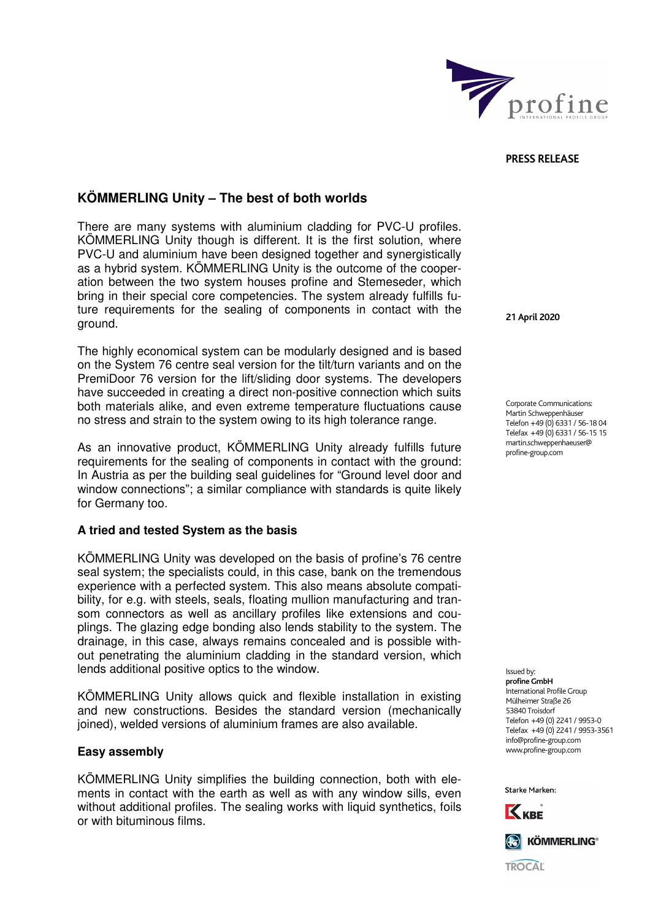

#### **PRESS RELEASE**

# **KÖMMERLING Unity – The best of both worlds**

There are many systems with aluminium cladding for PVC-U profiles. KÖMMERLING Unity though is different. It is the first solution, where PVC-U and aluminium have been designed together and synergistically as a hybrid system. KÖMMERLING Unity is the outcome of the cooperation between the two system houses profine and Stemeseder, which bring in their special core competencies. The system already fulfills future requirements for the sealing of components in contact with the ground.

The highly economical system can be modularly designed and is based on the System 76 centre seal version for the tilt/turn variants and on the PremiDoor 76 version for the lift/sliding door systems. The developers have succeeded in creating a direct non-positive connection which suits both materials alike, and even extreme temperature fluctuations cause no stress and strain to the system owing to its high tolerance range.

As an innovative product, KÖMMERLING Unity already fulfills future requirements for the sealing of components in contact with the ground: In Austria as per the building seal guidelines for "Ground level door and window connections"; a similar compliance with standards is quite likely for Germany too.

## **A tried and tested System as the basis**

KÖMMERLING Unity was developed on the basis of profine's 76 centre seal system; the specialists could, in this case, bank on the tremendous experience with a perfected system. This also means absolute compatibility, for e.g. with steels, seals, floating mullion manufacturing and transom connectors as well as ancillary profiles like extensions and couplings. The glazing edge bonding also lends stability to the system. The drainage, in this case, always remains concealed and is possible without penetrating the aluminium cladding in the standard version, which lends additional positive optics to the window.

KÖMMERLING Unity allows quick and flexible installation in existing and new constructions. Besides the standard version (mechanically joined), welded versions of aluminium frames are also available.

### **Easy assembly**

KÖMMERLING Unity simplifies the building connection, both with elements in contact with the earth as well as with any window sills, even without additional profiles. The sealing works with liquid synthetics, foils or with bituminous films.

**21 April 2020** 

Corporate Communications: Martin Schweppenhäuser Telefon +49 (0) 6331 / 56-18 04 Telefax +49 (0) 6331 / 56-15 15 martin.schweppenhaeuser@ profine-group.com

Issued by: **profine GmbH**  .<br>International Profile Group Mülheimer Straße 26 53840 Troisdorf Telefon +49 (0) 2241 / 9953-0 Telefax +49 (0) 2241 / 9953-3561 info@profine-group.com www.profine-group.com

Starke Marken: